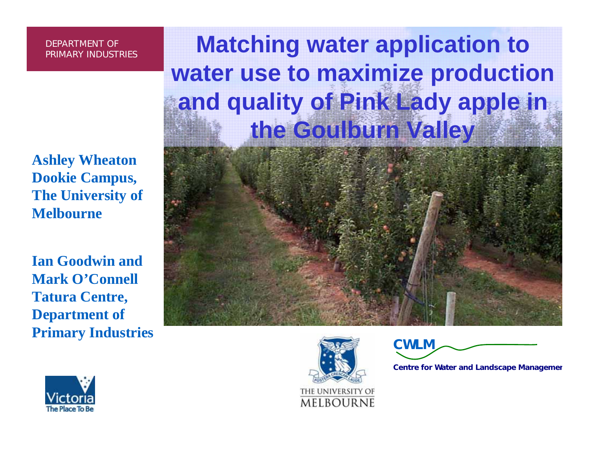**Ashley Wheaton Dookie Campus, The University of Melbourne**

**Ian Goodwin and Mark O'Connell Tatura Centre, Department of Primary Industries** 

### **Matching water application to water use to maximize production and quality of Pink Lady apple in the Goulburn Valley**



CWLM

Centre for Water and Landscape Managemen

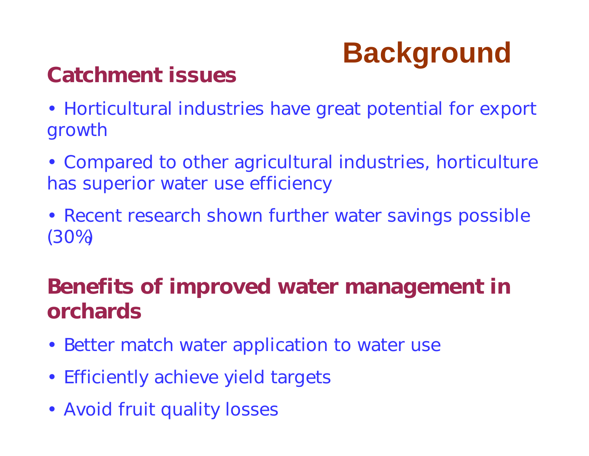# **Background** Catchment issues

• Horticultural industries have great potential for export growth

- Compared to other agricultural industries, horticulture has superior water use efficiency
- Recent research shown further water savings possible (30%)

### Benefits of improved water management in orchards

- Better match water application to water use
- Efficiently achieve yield targets
- Avoid fruit quality losses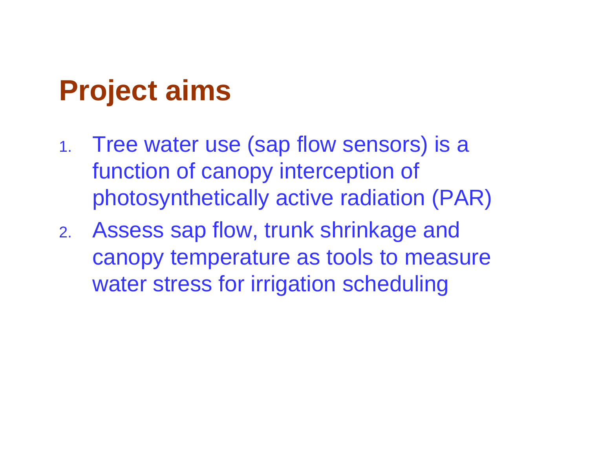## **Project aims**

- 1. Tree water use (sap flow sensors) is a function of canopy interception of photosynthetically active radiation (PAR)
- 2. Assess sap flow, trunk shrinkage and canopy temperature as tools to measure water stress for irrigation scheduling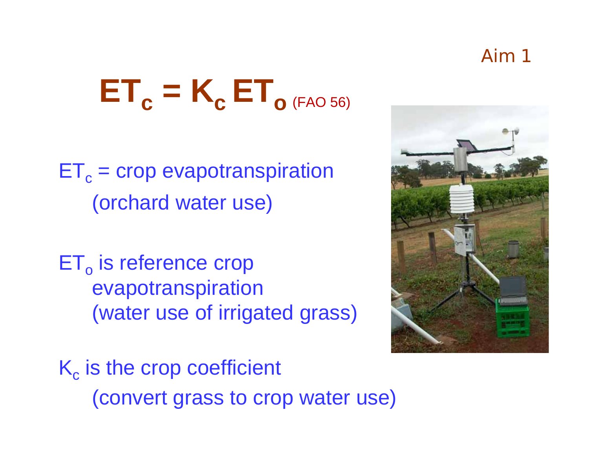### Aim 1

# $\textbf{ET}_{\textbf{c}} = \textbf{K}_{\textbf{c}} \textbf{ ET}_{\textbf{o} \text{ (FAO 56)}}$

- $\mathsf{ET}_{\mathrm{c}}$  = crop evapotranspiration (orchard water use)
- $\mathsf{ET}_\mathsf{o}$  is reference crop evapotranspiration (water use of irrigated grass)



 $\mathsf{K}_{\mathrm{c}}$  is the crop coefficient (convert grass to crop water use)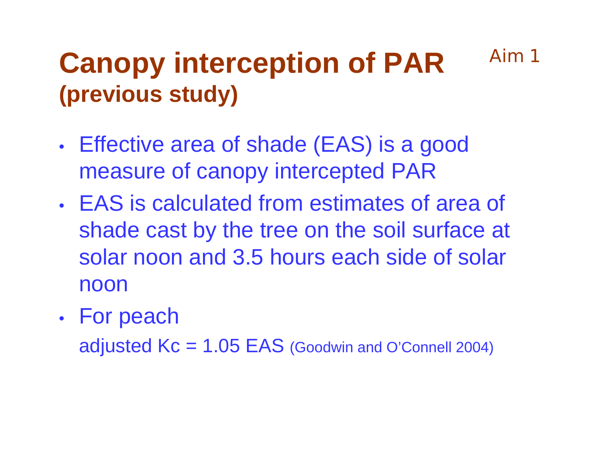### **Canopy interception of PAR (previous study)** Aim 1

- • Effective area of shade (EAS) is a good measure of canopy intercepted PAR
- EAS is calculated from estimates of area of shade cast by the tree on the soil surface at solar noon and 3.5 hours each side of solar noon
- •For peach

adjusted  $Kc = 1.05$  EAS (Goodwin and O'Connell 2004)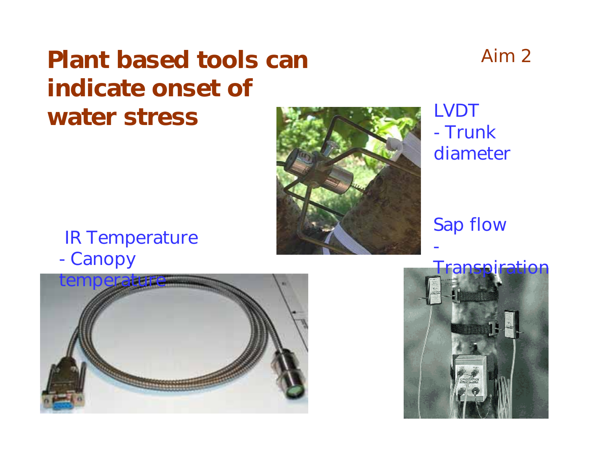### Plant based tools can indicate onset of water stress

### LVDT - Trunk diameter

#### Sap flow

-

#### IR Temperature -**Canopy**





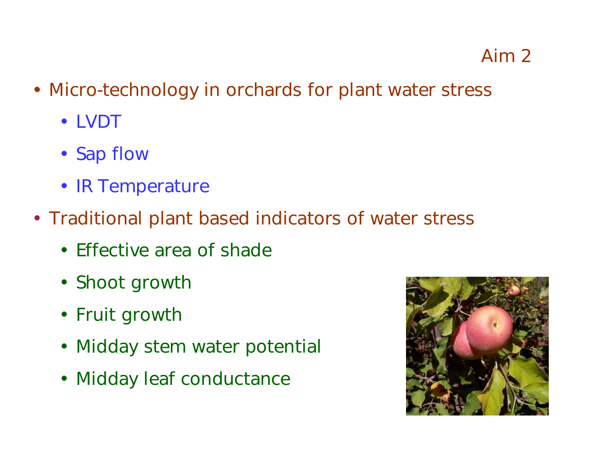- Micro-technology in orchards for plant water stress
	- LVDT
	- Sap flow
	- IR Temperature
- Traditional plant based indicators of water stress
	- Effective area of shade
	- Shoot growth
	- Fruit growth
	- Midday stem water potential
	- Midday leaf conductance

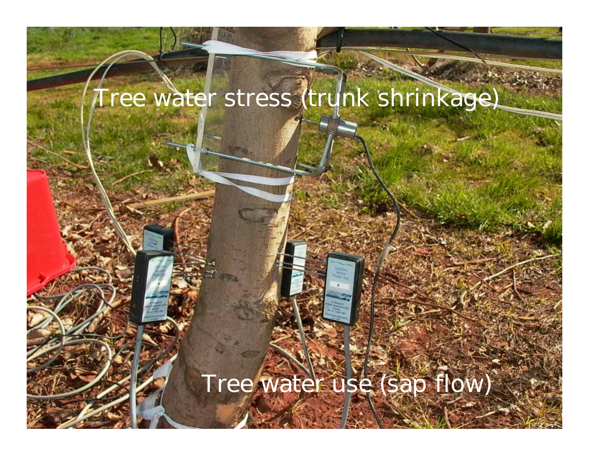### Tree water stress (trunk shrinkage)

### Tree water use (sap flow)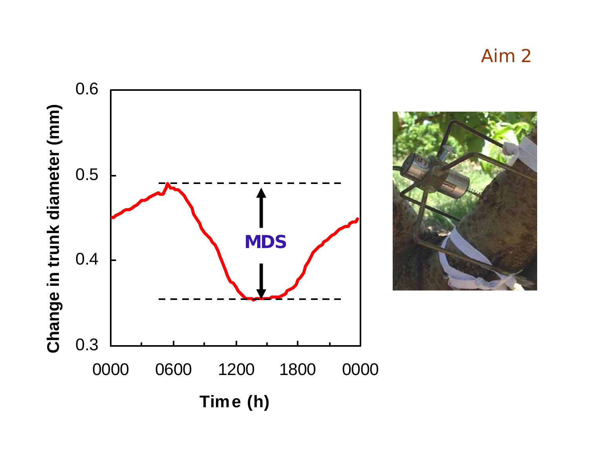Aim 2

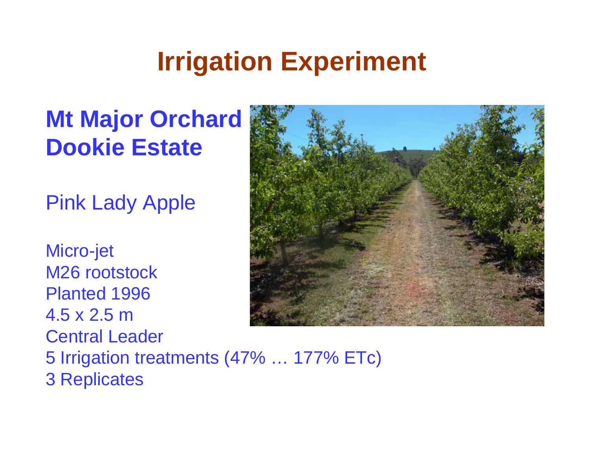## **Irrigation Experiment**

### **Mt Major Orchard Dookie Estate**

Pink Lady Apple

Micro-jet M26 rootstockPlanted 1996 4.5 x 2.5 mCentral Leader 5 Irrigation treatments (47% … 177% ETc) 3 Replicates

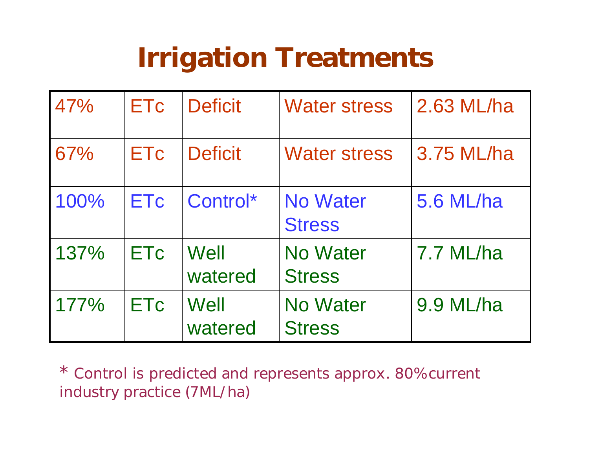## Irrigation Treatments

| 47%  | <b>ETc</b> | <b>Deficit</b>  | <b>Water stress</b>              | 2.63 ML/ha |
|------|------------|-----------------|----------------------------------|------------|
| 67%  | <b>ETc</b> | <b>Deficit</b>  | <b>Water stress</b>              | 3.75 ML/ha |
| 100% | <b>ETc</b> | Control*        | <b>No Water</b><br><b>Stress</b> | 5.6 ML/ha  |
| 137% | <b>ETc</b> | Well<br>watered | <b>No Water</b><br><b>Stress</b> | 7.7 ML/ha  |
| 177% | <b>ETc</b> | Well<br>watered | <b>No Water</b><br><b>Stress</b> | 9.9 ML/ha  |

\* Control is predicted and represents approx. 80% current industry practice (7ML/ha)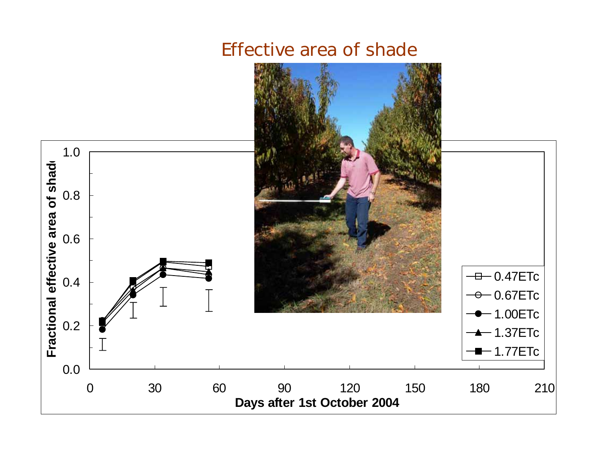

#### Effective area of shade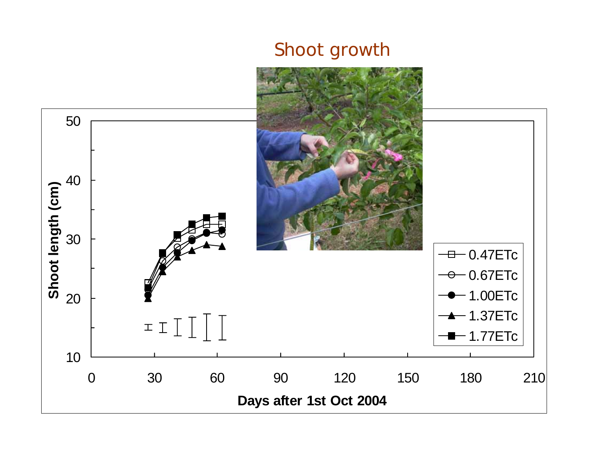#### Shoot growth

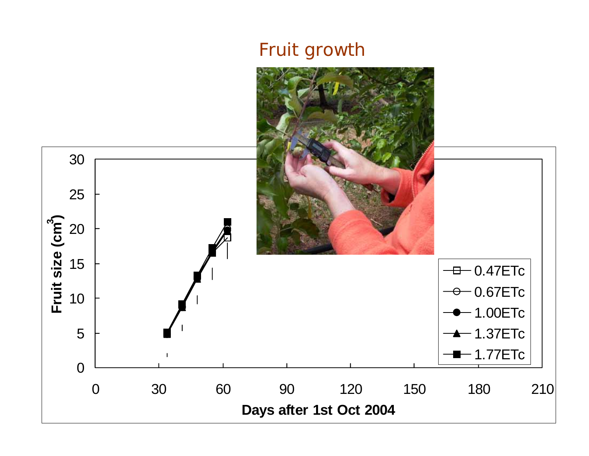### Fruit growth

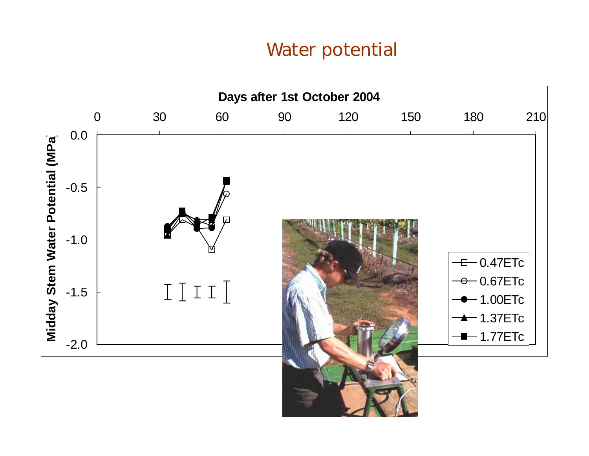#### Water potential

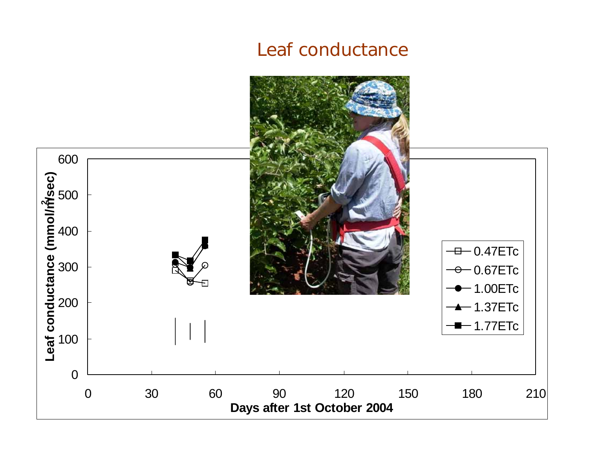#### Leaf conductance

![](_page_15_Figure_1.jpeg)